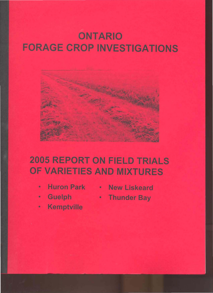# **ONTARIO FORAGE CROP INVESTIGATIONS**



# **2005 REPORT ON FIELD TRIALS** OF VARIETIES AND MIXTURES

- ٠
- **Guelph** ø
- Kemptville
- Huron Park . New Liskeard
	- \* Thunder Bay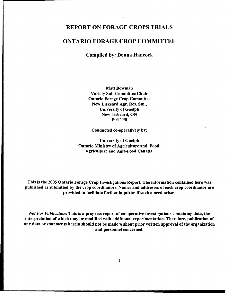## REPORT·ON FORAGE CROPS TRIALS

## ONTARIO FORAGE CROP COMMITTEE

Compiled by: Donna·Hancock

Matt Bowman Variety Sub-Committee Chair Ontario Forage Crop Committee New Liskeard Agr. Res. Stn., University of Guelph New Liskeard, ON POJ IPO

Conducted co-operatively by:

University of Guelph Ontario Ministry of Agriculture and Food Agriculture and Agri-Food Canada.

This is the 2005 Ontario Forage Crop Investigations Report. The information contained here was published as submitted by the crop coordinators. Names and addresses of each crop coordinator are provided to facilitate further inquiries if such a need arises.

*Not For Publication:* This is a progress report of co-operative investigations containing data, the interpretation of which may be modified with additional experimentation. Therefore, publication of any data or statements herein should not be made without prior written approval of the organization and personnel concerned.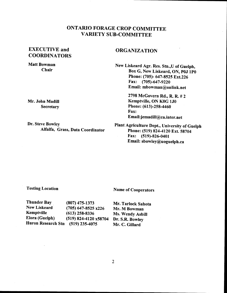## ONTARIO FORAGE CROP COMMITTEE VARIETY SUB-COMMITTEE

## EXECUTIVE and **COORDINATORS**

#### Matt Bowman Chair

Mr. John Madill **Secretary** 

Dr. Steve Bowley Alfalfa, Grass, Data Coordinator

### ORGANIZATION

New Liskeard Agr. Res. Stn.,U of Guelph, Box G, New Liskeard, ON, POJ 1PO Phone: (705)- 647-8525 Ext.226 Fax: (705)-647-9220 Email: mbowman@onlink.net

> 2798 McGovern Rd., R. R. # 2 Kemptville, ON KOG 1JO Phone: (613)-258-4460 Fax: Email:jemadill@ca.inter.net

Plant Agriculture Dept., University of Guelph Phone: (519) 824-4120 Ext. 58704 Fax: (519)-826-0401 Email: sbowley@uoguelph.ca

#### Testing Location

Name of Cooperators

| Thunder Bay         | $(807)$ 475-1373        |
|---------------------|-------------------------|
| <b>New Liskeard</b> | $(705)$ 647-8525 x226   |
| Kemptville          | $(613)$ 258-8336        |
| Elora (Guelph)      | $(519)$ 824-4120 x58704 |
| Huron Research Stn  | $(519)$ 235-4075        |

Mr. Tarlock Sahota Mr. M Bowman Ms. Wendy Asbill Dr. S.R. Bowley Mr. C. Gillard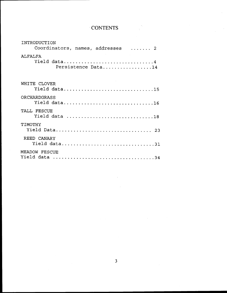| <b>CONTENTS</b> |  |  |  |  |
|-----------------|--|--|--|--|
|                 |  |  |  |  |

 $\frac{1}{\sqrt{2}}\left( \frac{1}{\sqrt{2}}\right) ^{2}$ 

| INTRODUCTION<br>Coordinators, names, addresses  2   |
|-----------------------------------------------------|
| <b>ALFALFA</b><br>Yield data4<br>Persistence Data14 |
| WHITE CLOVER<br>Yield data15                        |
| ORCHARDGRASS<br>Yield data16                        |
| TALL FESCUE<br>Yield data 18                        |
| TIMOTHY<br>Yield Data 23                            |
| REED CANARY<br>Yield data31                         |
| MEADOW FESCUE                                       |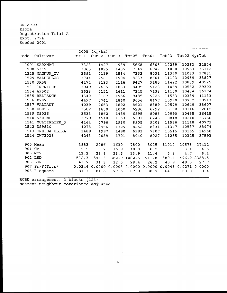ONTARIO Elora Registration Trial <sup>A</sup> Expt. 2794 Seeded 2001

|         |                                                                        |      | 2005 (kg/ha) |               |              |              |               |              |              |
|---------|------------------------------------------------------------------------|------|--------------|---------------|--------------|--------------|---------------|--------------|--------------|
|         | Code Cultivar Cut 1 Cut 2 Cut 3 Tot05                                  |      |              |               |              |              | Tot04 Tot03   | Tot02 4yrTot |              |
|         | 1001 SARANAC                                                           | 3323 | 1427         | 939           | 5668         | 6305         | 10289         | 10263        | 32504        |
|         | 1298 5312                                                              | 3865 | 1895         | 1405          | 7147         | 6947         | 11060         | 10963        | 36142        |
|         | 1325 MAGNUM_IV<br>1529 VALUEPLUS1                                      | 3591 | 2119         | 1584          | 7352         | 8031         | 11370         | 11083        | 37831        |
|         |                                                                        | 3744 | 2561         | 1904          | 8233         | 8601         | 11103         | 10959        | 38827        |
|         | 1530 3R58                                                              | 4174 | 3133         | 2116          | 9427         | 9185         | 11422         | 10839        | 40925        |
|         | 1531 INTRIGUE                                                          | 3949 | 2635         | 1883          | 8495         | 9128         | 11069         | 10532        | 39303        |
|         |                                                                        | 3628 | 2151         | 1611          | 7345         | 7138         | 11100         | 10484        | 36174        |
|         | 1534 A9502<br>1535 RELIANCE                                            | 4340 | 3167         | 1956          | 9485         | 9726         | 11533         | 10389        | 41133        |
|         | 1536 X787                                                              | 4497 | 2741         | 1860          | 9056         | 8477         | 10970         | 10732        | 39213        |
|         | 1537 VALIANT                                                           | 4039 | 2653         | 1892          | 8621         | 8889         | 10579         | 10649        | 38607        |
|         | 1538 DS025                                                             | 3582 | 1650         | 1060          | 6286         | 6292         | 10168         | 10116        | 32842        |
|         | 1539 DS026                                                             | 3533 | 1862         | 1489          | 6895         | 8083         | 10990         | 10455        | 36415        |
|         | 1540 5301ML                                                            | 3779 | 1518         | 1163          | 6391         | 6248         | 10818         | 10210        | 33786        |
|         | 1541 MULTIPLIER_3 4164<br>1542 DS9810 4078                             |      | 2796         | 1930          | 8905         | 9208         | 11586         | 11118        | 40779        |
|         |                                                                        |      | 2466         | 1729          | 8252         | 8831         | 11347         | 10537        | 38974        |
|         | 1543 ONEIDA_ULTRA                                                      | 3489 | 1997         | 1490          | 6993         | 7307         | 10515         | 10165        | 34960        |
|         | 1544 CW73038                                                           | 4243 | 2089         | 1701          | 8040         | 8027         | 11255         | 10325        | 37593        |
|         | 900 Mean<br>3883                                                       |      | 2286         | 1630          | 7800         | 8025         | 11010         | 10578        | 37412        |
| 901 CV  |                                                                        | 9.5  | 17.2         | 16.9          |              | $10.0$ $8.2$ | 3.8           | 3.4          | 4.6          |
|         | 13.2<br>905 MCV                                                        |      |              | $23.8$ $23.5$ |              |              | 13.9 11.4 5.3 | 4.7          | $6.4$        |
|         | 902 LSD<br>$512.3$ $544.3$                                             |      |              |               | 382.9 1082.5 | 911.8        | 580.4         |              | 496.0 2388.5 |
| 906 LSR |                                                                        | 43.7 | 31.3         | 32.5          | 28.4         | 26.2         | 40.9          | 49.5         | 27.7         |
|         | 907 Pr>F(Trts) 0.0344 0.0000 0.0003 0.0000 0.0000 0.0048 0.0271 0.0000 |      |              |               |              |              |               |              |              |
|         | 908 R_square                                                           | 81.1 | 84.6         | 77.6          | 87.9         | 88.7         | 64.6          | 88.8         | 89.4         |

 $\ddot{\phantom{a}}$ 

RCBD arrangement, 3 blocks {123} Nearest-neighbour covariance adjusted.

 $\bar{\gamma}$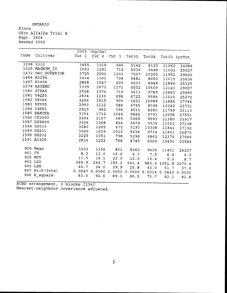ONTARIO Elora Ofcc Alfalfa Trial <sup>A</sup> Expt. 2804 Seeded 2002

|        |                                     | 2005  | (kg/ha) |       |       |                             |       |                     |
|--------|-------------------------------------|-------|---------|-------|-------|-----------------------------|-------|---------------------|
| Code   | Cultivar Cut 1 Cut 2 Cut 3 Tot05    |       |         |       |       | Tot04                       |       | Tot03 3yrTot        |
|        | 1298 5312                           | 3455  | 1018    | 646   | 5142  |                             |       |                     |
|        | 1325 MAGNUM IV                      | 3093  | 1293    | 712   | 5036  | 8120<br>9448                | 11062 | 24088               |
|        | 1432 OAC SUPERIOR                   | 3725  | 2002    | 1202  | 7007  |                             | 11002 | 25527               |
|        | 1466 A3294                          | 3434  | 1301    | 738   | 5481  | 10265                       | 11952 | 29622               |
|        | 1467 A3494                          | 2868  | 1047    | 605   |       | 8650                        | 11019 | 25636               |
|        | 1579 ASCEND                         | 3399  | 1873    |       | 4603  | 8948                        | 11894 | 25325               |
|        | 1580 STEAK                          | 3508  |         | 1171  | 6502  | 10409                       | 12143 | 29007               |
|        | 1581 54Q25                          |       | 1374    | 718   | 5613  | 9789                        | 10663 | 25885               |
|        | 1582 54V46                          | 2834  | 1130    | 696   | 4722  | 9584                        | 11010 | 25272               |
|        | 1583 55V05                          | 3204  | 1519    | 909   | 5631  | 10089                       | 11686 | 27746               |
|        |                                     | 2993  | 1132    | 586   | 4745  | 8598                        | 10342 | 23731               |
|        | 1584 54H91                          | 2910  | 982     | 594   | 4511  | 8280                        | 11799 | 25113               |
|        | 1585 DAKOTA                         | 3154  | 1712    | 1046  | 5866  | 9793                        | 12098 | 27551               |
|        | 1586 CK2000                         | 3204  | 1157    | 689   |       | 5069 9593                   | 11380 | 25917               |
|        | 1587 DS9809                         | 3508  | 1368    | 854   | 5679  | 9934                        | 11553 | 27106               |
|        | 1588 DS015                          | 3280  | 1265    | 675   | 5193  | 10308                       | 11844 | 27192               |
|        | 1589 DS231                          | 3049  | 1659    | 1013  | 5638  | 9734                        | 11801 | 26873               |
|        | 1590 DS232                          | 3225  | 1351    | 798   | 5298  | 9863                        | 12376 | 27086               |
|        | 1591 A3300                          | 2816  | 1222    | 766   | 4745  | 8260                        | 10491 | 23584               |
|        | 900 Mean                            |       |         |       |       |                             |       |                     |
| 901 CV |                                     | 3203  | 1356    | 801   | 5360  | 9426                        | 11451 | 26237               |
|        | 905 MCV                             | 8.3   | 13.0    | 16.6  |       | 8.7 7.5                     | 6.6   | $6.2$               |
|        | 902 LSD                             | 11.5  | 18.1    | 23.0  | 12.0  | 10.4                        | 9.2   | 8.7                 |
|        |                                     | 369.9 | 244.7   | 184.2 | 643.4 |                             |       | 983.4 1051.8 2270.4 |
|        | 906 LSR                             | 40.7  | 24.0    | 29.9  | 25.8  | 43.0                        | 51.7  | 37.6                |
|        | 907 Pr>F(Trts) 0.0047 0.0000 0.0000 |       |         |       |       | 0.0000 0.0016 0.0640 0.0030 |       |                     |
|        | 908 R_square                        | 83.0  | 92.6    | 89.3  | 90.5  | 75.7                        | 82.1  | 81.8                |
|        |                                     |       |         |       |       |                             |       |                     |

 $\label{eq:2.1} \frac{1}{\sqrt{2\pi}}\int_{0}^{\infty}\frac{1}{\sqrt{2\pi}}\left(\frac{1}{\sqrt{2\pi}}\right)^{2\pi}e^{-\frac{1}{2\pi}}\left(\frac{1}{\sqrt{2\pi}}\right)^{2\pi}e^{-\frac{1}{2\pi}}\left(\frac{1}{\sqrt{2\pi}}\right)^{2\pi}e^{-\frac{1}{2\pi}}\left(\frac{1}{\sqrt{2\pi}}\right)^{2\pi}e^{-\frac{1}{2\pi}}\left(\frac{1}{\sqrt{2\pi}}\right)^{2\pi}e^{-\frac{1}{2\pi}}\left(\frac{1}{\sqrt{2\pi$ 

RCBD arrangement, <sup>3</sup> blocks {134} Nearest-neighbour covariance adjusted.

 $\sim$   $\sim$ 

 $\mathcal{A}^{\mathcal{A}}$ 

 $\bar{z}$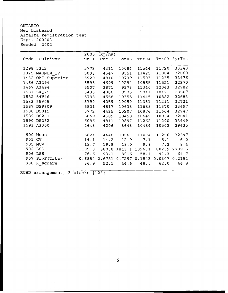ONTARIO New Liskeard Alfalfa registration test Expt. 200203 Seeded 2002

|        |                   | 2005                                      | (kg/ha)          |           |                                         |           |              |
|--------|-------------------|-------------------------------------------|------------------|-----------|-----------------------------------------|-----------|--------------|
| Code   | Cultivar          | Cut 1                                     | Cut <sub>2</sub> | Tot05     | Tot04                                   |           | Tot03 3yrTot |
|        |                   |                                           |                  |           |                                         |           |              |
|        | 1298 5312         | 5773                                      | 4311             | 10084     | 11544                                   | 11720     | 33348        |
|        | 1325 MAGNUM_IV    | 5003                                      | 4547             | 9551      | 11425                                   | 11084     | 32060        |
|        | 1432 OAC Superior | 5929                                      | 4810             | 10739     | 11503                                   | 11235     | 33476        |
|        | 1466 A3294        | 5595                                      | 4699             | 10294     | 10555                                   | 11521     | 32370        |
|        | 1467 A3494        | 5507                                      |                  | 3871 9378 | 11340                                   | 12063     | 32782        |
|        | 1581 54Q25        | 5488                                      |                  |           | 4086 9575 9811                          | 10121     | 29507        |
|        | 1582 54V46        | 5798                                      | 4558             | 10355     | 11445                                   | 10882     | 32683        |
|        | 1583 55V05        | 5790                                      | 4259             | 10050     | 11381                                   | 11291     | 32721        |
|        | 1587 DS9809       | 5821                                      | 4817             | 10638     | 11688                                   | 11370     | 33697        |
|        | 1588 DS015        | 5772                                      | 4435             | 10207     | 10876                                   | 11664     | 32747        |
|        | 1589 DS231        | 5869                                      | 4589             | 10458     | 10649                                   | 10934     | 32041        |
|        | 1590 DS232        | 6086                                      | 4811             | 10897     | 11262                                   | 11290     | 33449        |
|        | 1591 A3300        | 4643                                      | 4006             | 8648      | 10484                                   | 10502     | 29635        |
|        |                   |                                           |                  |           |                                         |           |              |
|        | 900 Mean          | 5621                                      | 4446             | 10067     | 11074                                   | 11206     | 32347        |
| 901 CV |                   | 14.1                                      |                  |           | 14.2 12.9 7.1 5.1                       |           | 6.0          |
|        | 905 MCV           | 19.7                                      |                  |           | 19.8 18.0 9.9 7.2 8.4                   |           |              |
|        | 902 LSD           |                                           |                  |           | 1105.0 880.8 1813.1 1096.1 802.9 2709.5 |           |              |
|        | 906 LSR           |                                           | 76.6 93.1        | 80.6      |                                         | 58.4 41.3 | 64.7         |
|        | 907 Pr>F(Trts)    | 0.6884 0.6781 0.7297 0.1943 0.0307 0.2194 |                  |           |                                         |           |              |
|        | 908 R square      | 36.9                                      | 52.1             | 44.6      | 48.0                                    | 62.0      | 46.8         |
|        |                   |                                           |                  |           |                                         |           |              |

RCBD arrangement, 3 blocks {123}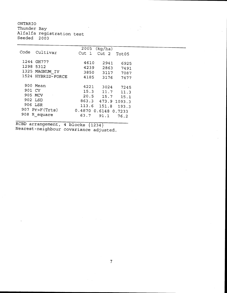ONTARIO

Thunder Bay Alfalfa Seeded registration test 2003

| Code      | Cultivar          | 2005                 | (kq/ha)      |       |  |  |
|-----------|-------------------|----------------------|--------------|-------|--|--|
|           |                   | Cut <sub>1</sub>     | Cut 2        | Tot05 |  |  |
|           | 1244 GH777        |                      |              |       |  |  |
|           |                   | 4610                 | 2941         | 6925  |  |  |
| 1298 5312 |                   | 4239                 | 2863         | 7491  |  |  |
|           | 1325 MAGNUM IV    | 3850                 | 3117         | 7087  |  |  |
|           | 1524 HYBRID-FORCE | 4185                 | 3176         | 7477  |  |  |
|           |                   |                      |              |       |  |  |
|           | 900 Mean          | 4221                 | 3024         | 7245  |  |  |
| 901 CV    |                   | 15.3                 | 11.7         | 11.3  |  |  |
| 905 MCV   |                   |                      | $20.5$ 15.7  | 15.1  |  |  |
| 902 LSD   |                   |                      |              |       |  |  |
|           |                   | 863.3                | 473.9 1093.3 |       |  |  |
| 906 LSR   |                   |                      | 113.6 151.8  | 193.3 |  |  |
|           | 907 Pr>F(Trts)    | 0.4870 0.6148 0.7233 |              |       |  |  |
|           | 908 R square      | 63.7                 | 91.1         | 76.2  |  |  |
|           |                   |                      |              |       |  |  |

RCBD arrangement, <sup>4</sup> blocks {1234} Nearest-neighbour covariance adjusted.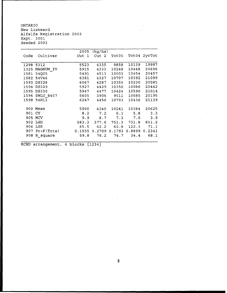ONTARIO New Liskeard Alfalfa Registration 2003 Expt. 3001 Seeded 2003

|      |                  | 2005             | (kg/ha)          |           |       |               |
|------|------------------|------------------|------------------|-----------|-------|---------------|
| Code | Cultivar         | Cut <sub>1</sub> | Cut <sub>2</sub> | Tot05     |       | Tot04 2yrTot  |
|      |                  |                  |                  |           |       |               |
|      | 1298 5312        | 5523             | 4335             | 9858      | 10139 | 19997         |
| 1325 | MAGNUM IV        | 5915             | 4333             | 10248     | 10448 | 20696         |
| 1581 | 54Q25            | 5491             | 4513             | 10003     | 10454 | 20457         |
| 1582 | 54V46            | 6381             | 4327             | 10707     | 10392 | 21099         |
| 1593 | <b>DS328</b>     | 6067             | 4287             | 10355     | 10230 | 20585         |
| 1594 | <b>DS329</b>     | 5927             | 4429             | 10356     | 10086 | 20442         |
| 1595 | <b>DS330</b>     | 5947             | 4477             | 10424     | 10590 | 21014         |
| 1596 | <b>SWLU 8407</b> | 5605             |                  | 3906 9511 | 10685 | 20195         |
|      | 1598 54H11       | 6247             | 4456             | 10703     | 10436 | 21139         |
|      |                  |                  |                  |           |       |               |
|      | 900 Mean         | 5900             | 4340             | 10241     | 10384 | 20625         |
| 901  | - CV             | 8.2              | 7.2              | 6.1       | 5.8   | 3.3           |
|      | 905 MCV          | 9.9              | 8.7              | 7.3       | 7.0   | 3.9           |
|      | 902 LSD          | 583.3            | 377.6            | 751.3     | 731.8 | 811.2         |
|      | 906 LSR          | 65.5             | 62.2             | 62.8      | 122.3 | 71.1          |
| 907  | Pr>F(Trts)       | 0.1555           | 0.2709 0.1793    |           |       | 0.8899 0.2341 |
| 908  | R square         | 59.8             | 76.2             | 74.7      | 34.4  | 68.1          |
|      |                  |                  |                  |           |       |               |

 $\frac{1}{2}$ 

 $\label{eq:2.1} \frac{1}{2} \int_{\mathbb{R}^3} \frac{1}{\sqrt{2\pi}} \, \frac{1}{\sqrt{2\pi}} \, \frac{1}{\sqrt{2\pi}} \, \frac{1}{\sqrt{2\pi}} \, \frac{1}{\sqrt{2\pi}} \, \frac{1}{\sqrt{2\pi}} \, \frac{1}{\sqrt{2\pi}} \, \frac{1}{\sqrt{2\pi}} \, \frac{1}{\sqrt{2\pi}} \, \frac{1}{\sqrt{2\pi}} \, \frac{1}{\sqrt{2\pi}} \, \frac{1}{\sqrt{2\pi}} \, \frac{1}{\sqrt{2\pi}} \, \frac{1}{\sqrt{2\$ 

RCBD arrangement, 4 blocks {1234}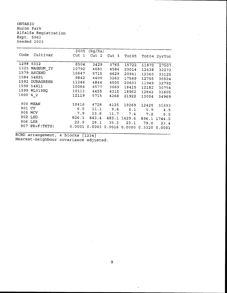ONTARIO Huron Park Alfalfa Registration Expt. 5063 Seeded 2003

| Code                                                         | Cultivar                                                                                       | 2005<br>Cut <sub>1</sub>                                  | (kq/ha)<br>Cut<br>2                                     | Cut <sub>3</sub>                                       | Tot05                                                       |                                                             | Tot04 2yrTot                                                |
|--------------------------------------------------------------|------------------------------------------------------------------------------------------------|-----------------------------------------------------------|---------------------------------------------------------|--------------------------------------------------------|-------------------------------------------------------------|-------------------------------------------------------------|-------------------------------------------------------------|
| 1298<br>1325<br>1579<br>1584<br>1592<br>1598<br>1599<br>1600 | 5312<br>MAGNUM IV<br>ASCEND<br>54H91<br><b>DURAGREEN</b><br>54H11<br>WL319HQ<br>4 <sub>2</sub> | 8504<br>10792<br>10647<br>9842<br>11246<br>10064<br>10113 | 3429<br>4681<br>5715<br>4409<br>4844<br>4577<br>4455    | 3765<br>4584<br>4629<br>3262<br>4505<br>3669<br>4315   | 15722<br>20014<br>20941<br>17569<br>20603<br>18415<br>18962 | 11870<br>12438<br>12360<br>12755<br>11949<br>12182<br>12842 | 27507<br>32272<br>33125<br>30524<br>32792<br>30754<br>31605 |
| 900<br>901<br>907                                            | <b>MEAN</b><br>CV<br>905 MCV<br>902 LSD<br>906 LSR<br>PR>F(TRTS)                               | 12119<br>10416<br>6.5<br>7.9<br>826.1<br>22.9<br>0.0001   | 5715<br>4728<br>11.1<br>13.6<br>643.4<br>28.1<br>0.0003 | 4268<br>4125<br>9.6<br>11.7<br>483.1<br>35.3<br>0.0016 | 21922<br>19269<br>6.1<br>7.4<br>1429.6<br>23.1<br>0.0000    | 13004<br>12425<br>5.9<br>7.2<br>896.1<br>79.0<br>0.3320     | 34969<br>31693<br>4.5<br>5.5<br>1744.0<br>23.4<br>0.0001    |

RCBD arrangement, 4 blocks {1234} Nearest-neighbour covariance adjusted.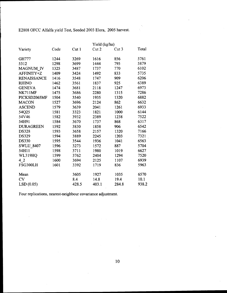E2808 OFCC Alfalfa yield Test, Seeded 2003 Elora, 2005 harvest.

|                    |      |                  |       | Yield (kg/ha) |       |  |
|--------------------|------|------------------|-------|---------------|-------|--|
| Variety            | Code | Cut <sub>1</sub> | Cut 2 | Cut 3         | Total |  |
| GH777              | 1244 | 3269             | 1616  | 856           | 5761  |  |
| 5312               | 1298 | 3699             | 1444  | 795           | 5879  |  |
| MAGNUM IV          | 1325 | 3487             | 1737  | 770           | 6102  |  |
| AFFINITY+Z         | 1409 | 3424             | 1492  | 833           | 5735  |  |
| <b>RENAISSANCE</b> | 1416 | 3548             | 1747  | 909           | 6206  |  |
| <b>RHINO</b>       | 1462 | 3561             | 1837  | 925           | 6389  |  |
| <b>GENEVA</b>      | 1474 | 3681             | 2118  | 1247          | 6973  |  |
| <b>NK711MF</b>     | 1475 | 3686             | 2280  | 1315          | 7286  |  |
| PICKSD2065MF       | 1504 | 3540             | 1935  | 1320          | 6882  |  |
| <b>MACON</b>       | 1527 | 3696             | 2124  | 862           | 6632  |  |
| <b>ASCEND</b>      | 1579 | 3639             | 2041  | 1261          | 6933  |  |
| 54Q25              | 1581 | 3323             | 1821  | 1000          | 6144  |  |
| 54V46              | 1582 | 3932             | 2389  | 1238          | 7522  |  |
| 54H91              | 1584 | 3670             | 1737  | 868           | 6317  |  |
| <b>DURAGREEN</b>   | 1592 | 3830             | 1858  | 906           | 6542  |  |
| <b>DS328</b>       | 1593 | 3658             | 2157  | 1320          | 7166  |  |
| <b>DS329</b>       | 1594 | 3889             | 2245  | 1203          | 7321  |  |
| <b>DS330</b>       | 1595 | 3544             | 1936  | 1041          | 6563  |  |
| SWLU_8407          | 1596 | 3273             | 1572  | 887           | 5704  |  |
| 54H11              | 1598 | 3711             | 1980  | 1019          | 6627  |  |
| <b>WL319HQ</b>     | 1599 | 3762             | 2404  | 1294          | 7520  |  |
| 4 <sub>2</sub>     | 1600 | 3694             | 2125  | 1107          | 6939  |  |
| FSG300LH           | 1601 | 3392             | 1719  | 836           | 5963  |  |
| Mean               |      | 3605             | 1927  | 1035          | 6570  |  |
| CV                 |      | 8.4              | 14.8  | 19.4          | 10.1  |  |
| LSD(0.05)          |      | 428.5            | 403.1 | 284.8         | 938.2 |  |

Four replications, nearest-neighbour covariance adjustment.

 $\sim$ 

 $\hat{\boldsymbol{\beta}}$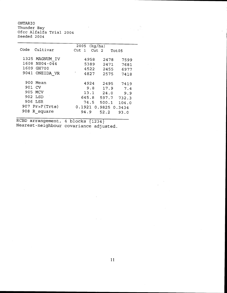ONTARIO Thunder Bay Ofcc Alfalfa Trial 2004 Seeded 2004

 $\bar{z}$ 

|                  | 2005<br>(kq/ha)                               |
|------------------|-----------------------------------------------|
| Code<br>Cultivar | Cut <sub>1</sub><br>Cut <sub>2</sub><br>Tot05 |
|                  |                                               |
| 1325 MAGNUM IV   | 4958<br>2478<br>7599                          |
| 1608 NS04-044    | 5389<br>2471<br>7681                          |
| 1609 GH700       | 4522<br>2455<br>6977                          |
|                  |                                               |
| 9041 ONEIDA VR   | 4827<br>2575<br>7418                          |
|                  |                                               |
| 900 Mean         | 4924<br>2495<br>7419                          |
| 901 CV           | 9.8<br>17.9<br>7.4                            |
| 905 MCV          | 13.1                                          |
|                  | 24.0<br>9.9                                   |
| 902 LSD          | 645.8<br>597.7<br>732.3                       |
| 906 LSR          | 74.5<br>500.1<br>104.0                        |
| 907 Pr>F(Trts)   | 0.1921 0.9825 0.3434                          |
| 908              |                                               |
| R square         | 94.9<br>52.2<br>93.0                          |
|                  |                                               |

RCBD arrangement, 4 blocks {1234} Nearest-neighbour covariance adjusted.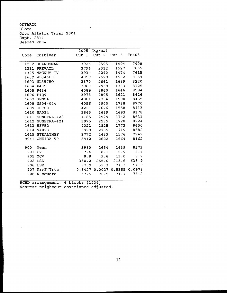ONTARIO Elora Ofcc Alfalfa Trial 2004 Expt. 2814 Seeded 2004

| Code   | Cultivar         | 2005<br>Cut <sub>1</sub> | (kg/ha)<br>Cut <sub>2</sub> | Cut 3         | Tot05  |
|--------|------------------|--------------------------|-----------------------------|---------------|--------|
|        | 1232 GUARDSMAN   | 3925                     | 2595                        | 1494          | 7908   |
|        | 1311 PREVAIL     | 3796                     | 2312                        | 1527          | 7665   |
|        | 1325 MAGNUM IV   | 3934                     | 2290                        | 1474          | 7615   |
|        | 1602 WL346LH     | 4059                     | 2529                        | 1532          | 8154   |
|        | 1603 WL357HQ     | 3870                     | 2661                        | 1689          | 8220   |
|        | 1604 P435        | 3968                     | 2939                        | 1733          | 8725   |
|        | 1605 P436        | 4089                     | 2860                        | 1646          | 8594   |
|        | 1606 P4Q9        | 3978                     | 2805                        | 1621          | 8426   |
|        | 1607 GENOA       | 4081                     | 2734                        | 1590          | 8435   |
|        | 1608 NS04-044    | 4056                     | 2900                        | 1738          | 8770   |
|        | 1609 GH700       | 4221                     | 2676                        | 1558          | 8413   |
|        | 1610 SA034       | 3865                     | 2689                        | 1693          | 8178   |
|        | 1611 SUNSTRA-420 | 4185                     | 2579                        | 1742          | 8631   |
|        | 1612 SUNSTRA-421 | 3975                     | 2535                        | 1728          | 8224   |
|        | 1613 53V52       | 4021                     | 2825                        | 1773          | 8650   |
|        | 1614 94023       | 3929                     | 2735                        | 1719          | 8382   |
|        | 1615 STEALTHSF   | 3772                     | 2483                        | 1576          | 7749   |
| 9041   | ONEIDA_VR        | 3912                     | 2622                        | 1664          | 8162   |
| 900    | Mean             | 3980                     | 2654                        | 1639          | 8272   |
| 901 CV |                  | 7.4                      | 8.1                         | 10.9          | 6.4    |
| 905    | MCV              | 8.8                      | 9.6                         | 13.0          | 7.7    |
| 902    | LSD              |                          | 350.2 255.0 213.6           |               | 633.9  |
|        | 906 LSR          | 77.9                     |                             | $39.3$ $71.3$ | 54.9   |
| 907    | Pr>F(Trts)       |                          | 0.8427 0.0027 0.5355        |               | 0.0978 |
| 908    | R square         | 57.5                     | 76.5                        | 71.7          | 73.2   |

RCBD arrangement, 4 blocks {1234} Nearest-neighbour covariance adjusted.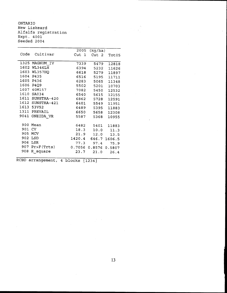ONTARIO New Liskeard Alfalfa registration Expt. 4001 Seeded 2004

|      |                  | 2005             | (kg/ha)              |              |
|------|------------------|------------------|----------------------|--------------|
| Code | Cultivar         | Cut <sub>1</sub> | Cut <sub>2</sub>     | Tot05        |
|      |                  |                  |                      |              |
|      | 1325 MAGNUM IV   | 7339             | 5479                 | 12818        |
| 1602 | WL346LH          | 6394             | 5232                 | 11626        |
| 1603 | WL357HQ          | 6618             | 5279                 | 11897        |
| 1604 | P435             | 6516             | 5195                 | 11711        |
| 1605 | P436             | 6283             | 5065                 | 11348        |
| 1606 | P4Q9             | 5502             | 5201                 | 10703        |
| 1607 | 40M157           | 7082             | 5450                 | 12532        |
| 1610 | SA034            | 6540             | 5615                 | 12155        |
| 1611 | SUNSTRA-420      | 6862             | 5728                 | 12591        |
|      | 1612 SUNSTRA-421 | 6401             | 5549                 | 11951        |
|      | 1613 53V52       | 6489             | 5395                 | 11883        |
| 1311 | PREVAIL          | 6650             | 5658                 | 12308        |
| 9041 | ONEIDA VR        | 5587             | 5368                 | 10955        |
|      |                  |                  |                      |              |
| 900  | Mean             | 6482             | 5401                 | 11883        |
| 901  | CV.              | 18.3             | 10.0                 | 11.3         |
| 905  | MCV              | 21.9             | 12.0                 | 13.5         |
| 902  | LSD              | 1420.4           |                      | 646.7 1606.5 |
| 906  | LSR              | 77.3             | 97.4                 | 75.9         |
| 907  | Pr > F(Trts)     |                  | 0.7056 0.8576 0.5807 |              |
| 908  | R square         | 23.7             | 21.0                 | 26.4         |
|      |                  |                  |                      |              |

RCBD arrangement, 4 blocks  ${1234}$ 

 $\bar{z}$ 

 $\frac{1}{2} \left( \frac{1}{2} \right)$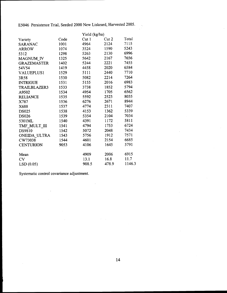E5046 Persistence Trial, Seeded 2000 New Liskeard, Harvested 2005.

|                     |      |       | Yield (kg/ha) |        |  |
|---------------------|------|-------|---------------|--------|--|
| Variety             | Code | Cut 1 | Cut 2         | Total  |  |
| <b>SARANAC</b>      | 1001 | 4964  | 2124          | 7115   |  |
| <b>ARROW</b>        | 1074 | 3524  | 1590          | 5243   |  |
| 5312                | 1298 | 5263  | 2130          | 6996   |  |
| MAGNUM IV           | 1325 | 5642  | 2167          | 7656   |  |
| <b>GRAZEMASTER</b>  | 1402 | 5244  | 2221          | 7455   |  |
| 54V54               | 1419 | 4458  | 2020          | 6584   |  |
| VALUEPLUS1          | 1529 | 5111  | 2440          | 7710   |  |
| 3R58                | 1530 | 5082  | 2214          | 7264   |  |
| <b>INTRIGUE</b>     | 1531 | 5155  | 2016          | 6983   |  |
| <b>TRAILBLAZER3</b> | 1533 | 3738  | 1852          | 5794   |  |
| A9502               | 1534 | 4954  | 1705          | 6562   |  |
| <b>RELIANCE</b>     | 1535 | 5592  | 2523          | 8035   |  |
| X787                | 1536 | 6276  | 2671          | 8944   |  |
| X688                | 1537 | 4774  | 2311          | 7407   |  |
| <b>DS025</b>        | 1538 | 4153  | 1362          | 5339   |  |
| <b>DS026</b>        | 1539 | 5354  | 2104          | 7034   |  |
| 5301ML              | 1540 | 4391  | 1172          | 5811   |  |
| TMF_MULT_III        | 1541 | 4794  | 1753          | 6724   |  |
| DS9810              | 1542 | 5072  | 2048          | 7434   |  |
| ONEIDA ULTRA        | 1543 | 5756  | 1912          | 7571   |  |
| CW73038             | 1544 | 4601  | 2154          | 6685   |  |
| <b>CENTURION</b>    | 9053 | 4106  | 1645          | 5791   |  |
| Mean                |      | 4909  | 2006          | 6915   |  |
| CV                  |      | 13.1  | 16.8          | 11.7   |  |
| LSD(0.05)           |      | 908.5 | 478.9         | 1146.3 |  |

 $\mathcal{L}$ 

 $\mathcal{A}=\mathcal{A}_1$ 

Systematic control covariance adjustment.

 $\ddot{\phantom{0}}$ 

 $\sim$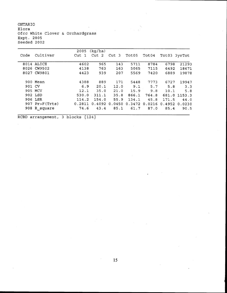ONTARIO  $\bar{\phantom{a}}$ Elora Ofcc White Clover & Orchardgrass Expt. 2805 Seeded 2002

|        |                  | 2005   | (kg/ha) |        |        |        |       |                   |
|--------|------------------|--------|---------|--------|--------|--------|-------|-------------------|
| Code   | Cultivar         | Cut 1  | Cut 2   | Cut 3  | Tot05  | Tot04  |       | Tot03 3yrTot      |
|        |                  |        |         |        |        |        |       |                   |
|        | 8014 ALICE       | 4602   | 965     | 143    | 5711   | 8784   | 6798  | 21293             |
|        | 8026 CW9502      | 4138   | 763     | 163    | 5065   | 7115   | 6492  | 18671             |
| 8027   | CW9801           | 4423   | 939     | 207    | 5569   | 7420   | 6889  | 19878             |
|        |                  |        |         |        |        |        |       |                   |
|        | 900 Mean         | 4388   | 889     | 171    | 5448   | 7773   | 6727  | 19947             |
| 901 CV |                  | 6.9    | 20.1    | 12.0   | 9.1    | 5.7    | 5.8   | 3.3               |
|        | 905 MCV          | 12.1   | 35.0    | 21.0   | 15.9   | 9.8    | 10.1  | 5.8               |
|        | 902 LSD          | 530.0  | 311.1   | 35.8   | 866.1  | 764.8  |       | 681.0 1153.3      |
|        | 906 LSR          | 114.2  | 154.0   | 55.9   | 134.1  | 45.8   | 171.5 | 44.0              |
|        | $907$ Pr>F(Trts) | 0.2811 | 0.4092  | 0.0450 | 0.3472 | 0.0216 |       | $0.4952$ $0.0230$ |
|        | 908 R square     | 74.6   | 43.4    | 85.1   | 61.7   | 87.0   | 85.4  | 90.5              |

RCBD arrangement, 3 blocks {124}

 $\hat{\mathcal{A}}$ 

 $\sim$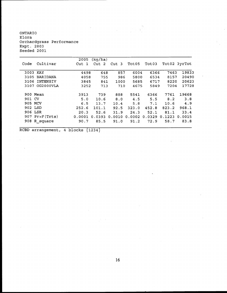ONTARIO Elora Orchardgrass Performance Expt. 2803 Seeded 2001

|                   | 2005   | (kg/ha)          |        |        |                   |        |              |
|-------------------|--------|------------------|--------|--------|-------------------|--------|--------------|
| Cultivar<br>Code  | Cut 1  | Cut <sub>2</sub> | Cut 3  | Tot05  | Tot <sub>03</sub> |        | Tot02 3yrTot |
| 3003 KAY          | 4498   | 648              | 857    | 6004   | 6366              | 7463   | 19833        |
| BARIDANA<br>3105  | 4058   | 755              | 986    | 5800   | 6534              | 8157   | 20490        |
| INTENSIV<br>3106  | 3845   | 841              | 1000   | 5685   | 6717              | 8220   | 20623        |
| OG2000VLA<br>3107 | 3252   | 713              | 710    | 4675   | 5849              | 7204   | 17728        |
| 900 Mean          | 3913   | 739              | 888    | 5541   | 6366              | 7761   | 19668        |
| 901 CV            | 5.0    | 10.6             | 8.0    | 4.5    | 5.5               | 8.2    | 3.8          |
| 905 MCV           | 6.5    | 13.7             | 10.4   | 5.8    | 7.1               | 10.6   | 4.9          |
| 902 LSD           | 252.6  | 101.1            | 92.5   | 323.0  | 452.8             | 823.2  | 968.1        |
| 906 LSR           | 20.3   | 52.6             | 31.9   | 24.3   | 52.1              | 81.1   | 33.4         |
| $907$ Pr>F(Trts)  | 0.0001 | 0.0393           | 0.0010 | 0.0002 | 0.0329            | 0.1223 | 0.0015       |
| 908 R square      | 90.7   | 85.5             | 91.0   | 91.2   | 72.9              | 58.7   | 83.8         |

 $\ddot{\phantom{0}}$ 

 $\mathcal{L}_{\mathcal{A}}$ 

RCBD arrangement, 4 blocks  ${1234}$ 

 $\hat{L}$ 

 $\sim$  .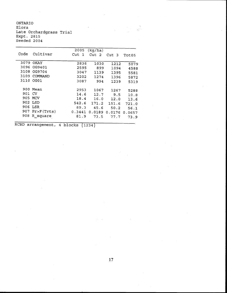ONTARIO Elora Late Orchardgrass Trial Expt. 2815 Seeded 2004

|      |            | 2005       | (kg/ha) |            |        |
|------|------------|------------|---------|------------|--------|
| Code | Cultivar   | Cut<br>- 1 | Cut 2   | Cut<br>- 3 | Tot05  |
| 3079 | OKAY       | 2836       | 1030    | 1212       | 5079   |
| 3096 | OG9401     | 2595       | 899     | 1094       | 4588   |
| 3108 | OG9704     | 3047       | 1139    | 1395       | 5581   |
| 3109 | COMMAND    | 3202       | 1274    | 1396       | 5872   |
| 3110 | OG01       | 3087       | 994     | 1239       | 5319   |
| 900  | Mean       | 2953       | 1067    | 1267       | 5288   |
| 901  | CV.        | 14.6       | 12.7    | 9.5        | 10.8   |
|      | 905 MCV    | 18.4       | 16.0    | 12.0       | 13.6   |
|      | 902 LSD    | 542.6      | 171.2   | 151.6      | 721.0  |
| 906  | LSR        | 89.3       | 45.6    | 50.2       | 56.1   |
| 907. | Pr>F(Trts) | 0.3441     | 0.0189  | 0.0176     | 0.0657 |
| 908  | R square   | 81.9       | 73.5    | 77.7       | 73.9   |

 $\lesssim 10$ 

RCBD arrangement, 4 blocks  $\{1234\}$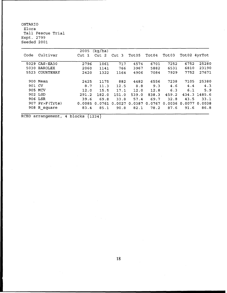ONTARIO Elora Tall Fescue Trial Expt. 2799 Seeded 2001

|        |                     | 2005   | (kg/ha)          |                  |        |        |        |              |              |
|--------|---------------------|--------|------------------|------------------|--------|--------|--------|--------------|--------------|
| Code   | Cultivar            | Cut 1  | Cut <sub>2</sub> | Cut <sub>3</sub> | Tot05  | Tot04  | Tot03  | Tot02 4yrTot |              |
|        | 5029 CAS-EA30       | 2796   | 1061             | 717              | 4574   | 6701   | 7252   | 6752         | 25280        |
|        |                     |        |                  |                  |        |        |        |              |              |
| 5030   | <b>BAROLEX</b>      | 2060   | 1141             | 766              | 3967   | 5882   | 6531   | 6810         | 23190        |
|        | 5523 COURTENAY      | 2420   | 1322             | 1164             | 4906   | 7084   | 7929   | 7752         | 27671        |
|        |                     |        |                  |                  |        |        |        |              |              |
|        | 900 Mean            | 2425   | 1175             | 882              | 4482   | 6556   | 7238   | 7105         | 25380        |
| 901 CV |                     | 8.7    | 11.3             | 12.5             | 8.8    | 9.3    | 4.6    | 4.4          | 4.3          |
|        | 905 MCV             | 12.0   | 15.5             | 17.1             | 12.0   | 12.8   | 6.3    | 6.1          | 5.9          |
|        | 902 LSD             | 291.2  | 182.0            | 151.0            | 539.0  | 838.3  | 459.2  |              | 434.3 1485.6 |
|        | 906 LSR             | 39.6   | 69.8             | 33.8             | 57.4   | 69.7   | 32.8   | 43.5         | 33.1         |
|        | 907 $Pr > F$ (Trts) | 0.0085 | 0.0761           | 0.0027           | 0.0387 | 0.0767 | 0.0036 | 0.0077       | 0.0038       |
|        | 908 R_square        | 83.4   | 85.1             | 90.8             | 82.1   | 78.2   | 87.6   | 91.6         | 86.8         |

 $\bar{\mathcal{A}}$ 

RCBD arrangement, 4 blocks {1234}

 $\sim 10$ 

 $\sim 10^7$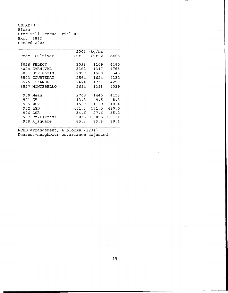ONTARIO Elora Ofcc Tall Fescue Trial 03 Expt. 2812 Seeded 2003

|        |                  | 2005             | (kq/ha) |        |
|--------|------------------|------------------|---------|--------|
| Code   | Cultivar         | Cut <sub>1</sub> | Cut 2   | Tot05  |
|        |                  |                  |         |        |
|        | 5026 SELECT      | 3098             | 1109    | 4180   |
| 5028   | CARNIVAL         | 3362             | 1347    | 4765   |
| 5031   | BOR 86218        | 2057             | 1500    | 3545   |
| 5523   | COURTENAY        | 2564             | 1624    | 4132   |
| 5526   | KOKANEE          | 2474             | 1731    | 4257   |
|        | 5527 MONTEBELLO  | 2694             | 1358    | 4039   |
|        |                  |                  |         |        |
|        | 900 Mean         | 2708             | 1445    | 4153   |
| 901 CV |                  | 13.3             | 9.5     | 8.3    |
| 905    | MCV              | 16.7             | 11.9    | 10.4   |
| 902    | LSD              | 451.3            | 171.5   | 430.0  |
| 906    | LSR              | 34.6             | 27.6    | 35.2   |
|        | $907$ Pr>F(Trts) | 0.0033           | 0.0006  | 0.0121 |
| 908    | R square         | 85.3             | 83.8    | 89.4   |
|        |                  |                  |         |        |

RCBD arrangement, 4 blocks {1234} Nearest-neighbour covariance adjusted.

 $\sim$   $\sim$ 

 $\sim$ 

 $\mathbf{r}$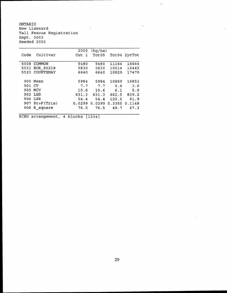ONTARIO New Liskeard Tall Fescue Registration Expt. 3003 Seeded 2003

|        |                  | 2005             | (kg/ha) |               |              |
|--------|------------------|------------------|---------|---------------|--------------|
| Code   | Cultivar         | Cut <sub>1</sub> | Tot05   |               | Tot04 2yrTot |
|        |                  |                  |         |               |              |
| 5008   | COMMON           | 5480             | 5480    | 11164         | 16644        |
| 5031   | BOR 86218        | 5830             | 5830    | 10614         | 16445        |
|        | 5523 COURTENAY   | 6640             | 6640    | 10829         | 17470        |
|        |                  |                  |         |               |              |
|        | 900 Mean         | 5984             | 5984    | 10869         | 16853        |
| 901 CV |                  | 7.7              | 7.7     | 4.4           | 3.6          |
|        | 905 MCV          | 10.6             | 10.6    | 6.1           | 5.0          |
|        | 902 LSD          | 631.3            | 631.3   | 662.5         | 839.2        |
|        | 906 LSR          | 54.4             | 54.4    | 120.5         | 81.9         |
|        | $907$ Pr>F(Trts) | 0.0299           | 0.0299  | 0.3355 0.1148 |              |
| 908    | R square         | 76.5             | 76.5    | 49.7          | 67.3         |
|        |                  |                  |         |               |              |

RCBD arrangement, 4 blocks {1234}

 $\hat{\mathcal{A}}$ 

 $\bullet$ 

 $\label{eq:2.1} \frac{1}{2} \sum_{i=1}^n \frac{1}{2} \sum_{j=1}^n \frac{1}{2} \sum_{j=1}^n \frac{1}{2} \sum_{j=1}^n \frac{1}{2} \sum_{j=1}^n \frac{1}{2} \sum_{j=1}^n \frac{1}{2} \sum_{j=1}^n \frac{1}{2} \sum_{j=1}^n \frac{1}{2} \sum_{j=1}^n \frac{1}{2} \sum_{j=1}^n \frac{1}{2} \sum_{j=1}^n \frac{1}{2} \sum_{j=1}^n \frac{1}{2} \sum_{j=1}^n \frac{$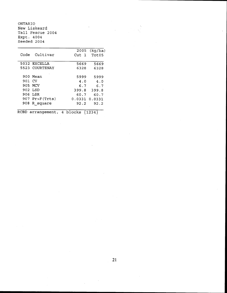ONTARIO New Liskeard Tall Fescue 2004 Expt. 4004 Seeded 2004

|        |                    |                  | 2005 (kg/ha) |
|--------|--------------------|------------------|--------------|
| Code   | Cultivar           | Cut <sub>1</sub> | Tot05        |
|        | 5032 EXCELLA       | 5669             | 5669         |
|        | 5523 COURTENAY     | 6328             | 6328         |
|        | 900 Mean           | 5999             | 5999         |
| 901 CV |                    | 4.0              | 4.0          |
|        | 905 MCV            | 6.7              | 6.7          |
|        | 902 LSD            | 399.8            | 399.8        |
|        | 906 LSR            | 60.7             | 60.7         |
|        | 907 $Pr > F(Trts)$ | 0.0331 0.0331    |              |
| 908    | R square           | 92.2             | 92.2         |

RCBD arrangement, 4 blocks  $\{1234\}$ 

**21**

 $\sim$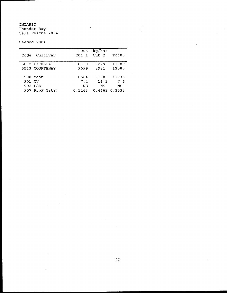ONTARIO Thunder Bay Tall Fescue 2004

 $\bar{z}$ 

Seeded 2004

| Code   | Cultivar         | Cut 1  | $2005$ (kg/ha)<br>Cut <sub>2</sub> | Tot05 |
|--------|------------------|--------|------------------------------------|-------|
|        |                  |        |                                    |       |
|        | 5032 EXCELLA     | 8110   | 3279                               | 11389 |
|        | 5523 COURTENAY   | 9099   | 2981                               | 12080 |
|        |                  |        |                                    |       |
|        | 900 Mean         | 8604   | 3130                               | 11735 |
| 901 CV |                  | 7.4    | 16.2                               | 7.6   |
|        | 902 LSD          | ΝS     | ΝS                                 | NS    |
|        | $907$ Pr>F(Trts) | 0.1163 | 0.4663 0.3538                      |       |

 $\overline{a}$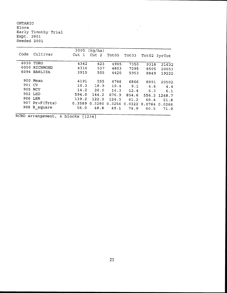ONTARIO Elora Early Timothy Trial Expt. 2801 Seeded 2001

|        |                  | 2005   | (kq/ha)   |        |                   |      |              |
|--------|------------------|--------|-----------|--------|-------------------|------|--------------|
| Code   | Cultivar         | Cut 1  | Cut<br>-2 | Tot05  | Tot <sub>03</sub> |      | Tot02 3yrTot |
| · 6030 | TORO             | 4342   | 623       | 4965   | 7350              | 9318 | 21632        |
| 6050   | RICHMOND         | 4316   | 537       | 4853   | 7295              | 8505 | 20653        |
|        | 6094 BARLIZA     | 3915   | 505       | 4420   | 5953              | 8849 | 19222        |
|        | 900 Mean         | 4191   | 555       | 4746   | 6866              | 8891 | 20502        |
| 901 CV |                  | 10.3   | 18.9      | 10.4   | 9.1               | 4.6  | 4.4          |
|        | 905 MCV          | 14.2   | 26.0      | 14.3   | 12.4              | 6.3  | 6.1          |
|        | 902 LSD          | 594.0  | 144.2     | 676.9  | 854.6             |      | 556.3 1248.7 |
|        | 906 LSR          | 139.2  | 122.3     | 124.3  | 61.2              | 68.4 | 51.8         |
|        | $907$ Pr>F(Trts) | 0.3589 | 0.3280    | 0.3256 | $0.0322$ $0.0764$ |      | 0.0266       |
|        | 908 R square     | 56.0   | 48.8      | 49.1   | 74.9              | 60.5 | 71.9         |
|        |                  |        |           |        |                   |      |              |

RCBD arrangement, 4 blocks  ${1234}$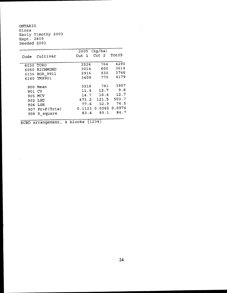ONTARIO Elora Early Timothy 2003 Expt. 2809 Seeded 2003

 $\mathcal{F}^{\text{max}}_{\text{max}}$ 

 $\bar{z}$ 

|        |                | 2005       | (kg/ha)              |       |
|--------|----------------|------------|----------------------|-------|
| Code   | Cultivar       | - 1<br>Cut | Cut <sub>2</sub>     | Tot05 |
|        |                |            |                      |       |
| 6030   | TORO           | 3526       | 764                  | 4290  |
| 6050   | RICHMOND       | 3014       | 600                  | 3614  |
|        | 6156 BOR 9911  | 2916       | 830                  | 3746  |
| 6160   | TM9901         | 3409       | 770                  | 4179  |
|        |                |            |                      |       |
| 900    | Mean           | 3216       | 741                  | 3957  |
| 901 CV |                | 11.4       | 12.7                 | 9.8   |
|        | 905 MCV        | 14.7       | 16.4                 | 12.7  |
|        | 902 LSD        | 473.2      | 121.5                | 503.7 |
|        | 906 LSR        | 77.6       | 52.9                 | 74.5  |
|        | 907 Pr>F(Trts) |            | 0.1123 0.0362 0.0974 |       |
| 908    | R square       | 83.4       | 89.1                 | 84.7  |
|        |                |            |                      |       |

RCBD arrangement, 4 blocks  $\{1234\}$ 

 $\mathcal{A}=\mathcal{A}$ 

 $\label{eq:2} \begin{split} \mathcal{L}_{\text{max}}(\mathbf{y}) = \mathcal{L}_{\text{max}}(\mathbf{y}) \mathcal{L}_{\text{max}}(\mathbf{y}) \\ = \mathcal{L}_{\text{max}}(\mathbf{y}) \mathcal{L}_{\text{max}}(\mathbf{y}) \mathcal{L}_{\text{max}}(\mathbf{y}) \mathcal{L}_{\text{max}}(\mathbf{y}) \mathcal{L}_{\text{max}}(\mathbf{y}) \mathcal{L}_{\text{max}}(\mathbf{y}) \mathcal{L}_{\text{max}}(\mathbf{y}) \mathcal{L}_{\text{max}}(\mathbf{y}) \mathcal{L}_{\text{max}}(\mathbf{y}) \$ 

L.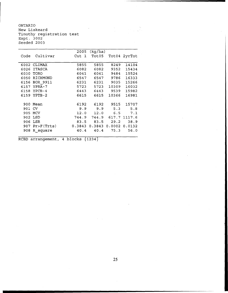ONTARIO New Liskeard Timothy registration test Expt. 3002 Seeded 2003

|        |                  | 2005             | (kg/ha)              |            |              |
|--------|------------------|------------------|----------------------|------------|--------------|
| Code   | Cultivar         | Cut <sub>1</sub> | Tot05                |            | Tot04 2yrTot |
|        |                  |                  |                      |            |              |
|        | 6002 CLIMAX      | 5855             | 5855                 | 8249       | 14104        |
| 6026   | ITASCA           | 6082             | 6082                 | 9352       | 15434        |
| 6030   | TORO             | 6041             | 6041                 | 9484       | 15524        |
| 6050   | RICHMOND         | 6547             | 6547                 | 9786       | 16333        |
|        | 6156 BOR 9911    | 6231             | 6231                 | 9035       | 15266        |
|        | 6157 YPRA-7      | 5723             | 5723                 | 10309      | 16032        |
|        | 6158 YPCB-4      | 6443             | 6443                 | 9539       | 15982        |
|        | 6159 YPTB-2      | 6615             | 6615                 | 10366      | 16981        |
|        |                  |                  |                      |            |              |
|        | 900 Mean         | 6192             | 6192                 | 9515       | 15707        |
| 901 CV |                  |                  | 9.9 9.9 5.3          |            | 5.8          |
| 905    | MCV              | 12.0             |                      | $12.0$ 6.5 | 7.1          |
|        | 902 LSD          |                  | 744.9 744.9          |            | 617.7 1117.6 |
|        | 906 LSR          | 83.5             | 83.5                 | 29.2       | 38.9         |
|        | $907$ Pr>F(Trts) | 0.3843           | 0.3843 0.0002 0.0132 |            |              |
|        | 908 R_square     | 40.4             | 40.4                 | 75.3       | 56.0         |
|        |                  |                  |                      |            |              |

RCBD arrangement, 4 blocks {1234}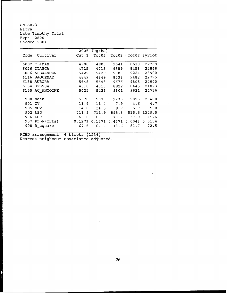ONTARIO Elora Late Timothy Trial Expt. 2800 Seeded 2001

|      |               | 2005             | (kg/ha) |        |                    |        |
|------|---------------|------------------|---------|--------|--------------------|--------|
| Code | Cultivar      | Cut <sub>1</sub> | Tot05   |        | Tot03 Tot02 3yrTot |        |
|      |               |                  |         |        |                    |        |
| 6002 | <b>CLIMAX</b> | 4908             | 4908    | 9541   | 8618               | 22769  |
| 6026 | <b>ITASCA</b> | 4715             | 4715    | 9589   | 8458               | 22848  |
| 6086 | ALEXANDER     | 5429             | 5429    | 9080   | 9224               | 23900  |
| 6116 | SAGUENAY      | 4849             | 4849    | 8538   | 9482               | 22775  |
| 6138 | <b>AURORA</b> | 5648             | 5648    | 9676   | 9805               | 24900  |
| 6154 | SF8904        | 4518             | 4518    | 8922   | 8445               | 21873  |
| 6155 | AC ANTOINE    | 5425             | 5425    | 9301   | 9631               | 24736  |
|      |               |                  |         |        |                    |        |
| 900  | Mean          | 5070             | 5070    | 9235   | 9095               | 23400  |
| 901  | CV            | 11.4             | 11.4    | 7.9    | 4.6                | 4.7    |
| 905  | MCV           | 14.0             | 14.0    | 9.7    | 5.7                | 5.8    |
| 902  | LSD           | 711.9            | 711.9   | 895.8  | 515.5              | 1349.5 |
| 906  | LSR           | 63.0             | 63.0    | 78.7   | 37.9               | 44.6   |
| 907  | Pr>F(Trts)    | 0.1271           | 0.1271  | 0.4271 | 0.0043             | 0.0154 |
| 908  | R square      | 67.6             | 67.6    | 48.6   | 81.7               | 72.5   |
|      |               |                  |         |        |                    |        |

 $\ddot{\phantom{a}}$ 

RCBD arrangement, 4 blocks  $\{1234\}$ Nearest-neighbour covariance adjusted.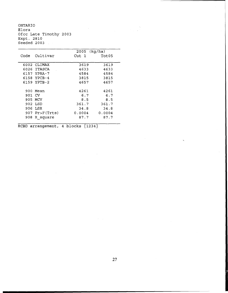ONTARIO Elora Ofcc Late Timothy 2003 Expt. 2810 Seeded 2003

|        |             | 2005   | (kq/ha) |
|--------|-------------|--------|---------|
| Code   | Cultivar    | Cut 1  | Tot05   |
|        |             |        |         |
|        | 6002 CLIMAX | 3619   | 3619    |
|        | 6026 ITASCA | 4633   | 4633    |
|        | 6157 YPRA-7 | 4584   | 4584    |
|        | 6158 YPCB-4 | 3815   | 3815    |
|        | 6159 YPTB-2 | 4657   | 4657    |
|        |             |        |         |
|        | 900 Mean    | 4261   | 4261    |
| 901 CV |             | 6.7    | 6.7     |
|        | 905 MCV     | 8.5    | 8.5     |
|        | 902 LSD     | 361.7  | 361.7   |
|        | 906 LSR     | 34.8   | 34.8    |
| 907    | Pr>F(Trts)  | 0.0004 | 0.0004  |
| 908    | R square    | 87.7   | 87.7    |
|        |             |        |         |

RCBD arrangement, 4 blocks  ${1234}$ 

 $\sim$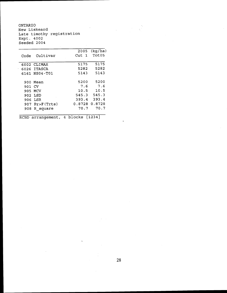ONTARIO New Liskeard Late timothy registration Expt. 4002 Seeded 2004

|        |                  | 2005          | (kq/ha) |
|--------|------------------|---------------|---------|
| Code   | Cultivar         | Cut 1         | Tot05   |
|        |                  |               |         |
|        | $6002$ CLIMAX    | 5175          | 5175    |
|        | 6026 ITASCA      | 5282          | 5282    |
|        | 6161 NS04-T01    | 5143          | 5143    |
|        |                  |               |         |
|        | 900 Mean         | 5200          | 5200    |
| 901 CV |                  | 7.6           | 7.6     |
|        | 905 MCV          | 10.5          | 10.5    |
|        | 902 LSD          | 545.3         | 545.3   |
|        | 906 LSR          | 393.4         | 393.4   |
|        | $907$ Pr>F(Trts) | 0.8728 0.8728 |         |
| 908    | R square         | 70.7          | 70.7    |
|        |                  |               |         |

RCBD arrangement, 4 blocks {1234}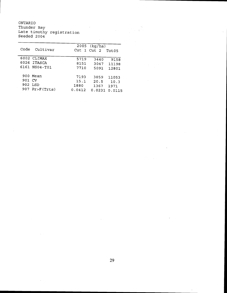ONTARIO Thunder Bay Late timothy registration Seeded 2004

 $\bar{z}$ 

÷.

| Code   | Cultivar                                    | Cut 1 Cut 2                    | $2005$ (kq/ha)                 | Tot05                           |
|--------|---------------------------------------------|--------------------------------|--------------------------------|---------------------------------|
|        | 6002 CLIMAX<br>6026 ITASCA<br>6161 NS04-T01 | 5719<br>8151<br>7710           | 3440<br>3047<br>5091           | 9158<br>11198<br>12801          |
| 901 CV | 900 Mean<br>902 LSD<br>907 Pr>F(Trts)       | 7193<br>15.1<br>1880<br>0.0412 | 3859<br>20.5<br>1367<br>0.0231 | 11053<br>10.3<br>1971<br>0.0115 |

Ÿ,

 $\sim 10$ 

 $\mathbb{R}^2$ 

 $\Delta \sim 10^{-11}$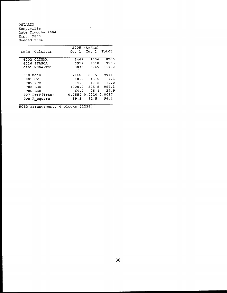ONTARIO Kemptville Late Timothy 2004 Expt. 2850 Seeded 2004

|                  | 2005             |                  |                                                                                                 |
|------------------|------------------|------------------|-------------------------------------------------------------------------------------------------|
| Cultivar         | Cut <sub>1</sub> | Cut <sub>2</sub> | Tot05                                                                                           |
| 6002 CLIMAX      | 6469             | 1736             | 8206                                                                                            |
| 6026 ITASCA      | 6917             | 3018             | 9935                                                                                            |
| 6161 NS04-T01    |                  | 3749             | 11782                                                                                           |
| 900 Mean         | 7140             | 2835             | 9974                                                                                            |
| 901 CV           |                  |                  | 7.3                                                                                             |
| 905 MCV          | 14.0             |                  |                                                                                                 |
| 902 LSD          |                  |                  |                                                                                                 |
| 906 LSR          | 64.0             |                  | 25.1 27.9                                                                                       |
| $907$ Pr>F(Trts) |                  |                  |                                                                                                 |
| 908 R square     | 89.3             | 91.5             | 94.4                                                                                            |
|                  |                  |                  | (kq/ha)<br>8033<br>$10.2$ 13.0<br>17.8 10.0<br>1000.2 505.5 997.3<br>$0.0550$ $0.0010$ $0.0017$ |

RCBD arrangement, 4 blocks  $\{1234\}$ 

 $\sim$   $\sim$ 

 $\sim$   $\sim$ 

 $\sim 10^7$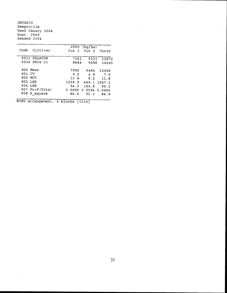ONTARIO Kemptville Reed Canary 2004 Expt. 2849 Seeded 2004

|                  |                      | 2005 (kg/ha)     |       |
|------------------|----------------------|------------------|-------|
| Cultivar<br>Code | Cut <sub>1</sub>     | Cut <sub>2</sub> | Tot05 |
|                  |                      |                  |       |
| 5013 PALATON     | 7341                 | 5331             | 12672 |
| 5036 PR04-01     | 8644                 | 5596             | 14240 |
| 900 Mean         | 7992                 | 5464             | 13456 |
| 901 CV           | 9.2                  | 4.9              | 7.0   |
| 905 MCV          | 15.4                 | 8.2              | 11.6  |
| 902 LSD          | 1228.9               | 449.1 1557.3     |       |
| 906 LSR          | 94.3                 | 169.5            | 99.3  |
| 907 Pr>F(Trts)   | 0.0892 0.2594 0.0994 |                  |       |
| 908<br>R square  | 86.6                 | 92.3             | 84.9  |
|                  |                      |                  |       |

RCBD arrangement, 4 blocks  ${1234}$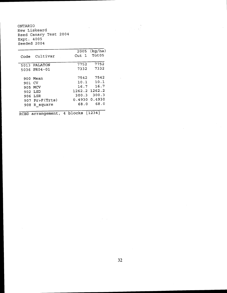ONTARIO New Liskeard Reed Canary Test 2004 Expt. 4005 Seeded 2004

|        |                |                  | 2005 (kg/ha) |
|--------|----------------|------------------|--------------|
| Code   | Cultivar       | Cut <sub>1</sub> | Tot05        |
|        |                |                  |              |
|        | 5013 PALATON   | 7752             | 7752         |
|        | 5036 PR04-01   | 7332             | 7332         |
|        |                |                  |              |
|        | 900 Mean       | 7542             | 7542         |
| 901 CV |                | 10.1             | 10.1         |
|        | 905 MCV        | 16.7             | 16.7         |
|        | 902 LSD        | 1262.2 1262.2    |              |
|        | 906 LSR        | 300.3            | 300.3        |
|        | 907 Pr>F(Trts) | 0.4930           | 0.4930       |
|        |                | 68.0             | 68.0         |
| 908    | R square       |                  |              |
|        |                |                  |              |

 $\mathcal{L}^{\mathcal{A}}$ 

RCBD arrangement, 4 blocks  $\{1234\}$ 

 $\mathbf{r}$ 

 $\hat{\mathcal{L}}$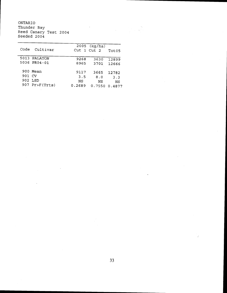ONTARIO Thunder Bay Reed Canary Test 2004 Seeded 2004

| Code   | Cultivar       |        | $2005$ (kg/ha)<br>Cut 1 Cut 2 | Tot <sub>05</sub> |
|--------|----------------|--------|-------------------------------|-------------------|
|        | 5013 PALATON   | 9268   | 3630                          | 12899             |
|        | 5036 PR04-01   | 8965   | 3701                          | 12666             |
|        | 900 Mean       | 9117   | 3665                          | 12782             |
| 901 CV |                | 3.5    | 8.0                           | 3.3               |
|        | 902 LSD        | ΝS     | NS                            | ΝS                |
|        | 907 Pr>F(Trts) | 0.2689 | 0.7550                        | 0.4877            |

 $\sim$ 

 $\sqrt{\frac{2}{3}}$ 

 $\mathcal{L}^{\text{max}}_{\text{max}}$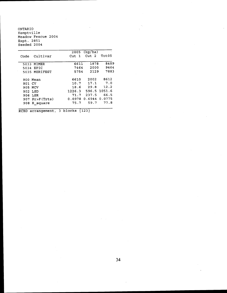ONTARIO Kemptville Meadow Fescue 2004 Expt. 2851 Seeded 2004

|         |                  | 2005             | (kg/ha)          |              |
|---------|------------------|------------------|------------------|--------------|
| Code    | Cultivar         | Cut <sub>1</sub> | Cut <sub>2</sub> | Tot05        |
| 5033    | MIMER            | 6611             | 1878             | 8489         |
|         | 5034 EPIC        | 7464             | 2000             | 9464         |
|         | 5035 MERIFEST    | 5754             | 2129             | 7883         |
|         | 900 Mean         | 6610             | 2002             | 8612         |
| 901 CV  |                  | 10.7             | 17.1             | 7.0          |
| 905 MCV |                  |                  | 18.6 29.8        | 12.2         |
| 902 LSD |                  | 1226.3           |                  | 596.5 1051.6 |
| 906 LSR |                  | 71.7             | 237.5            | 66.5         |
|         | $907$ Pr>F(Trts) | 0.0978           | 0.6944 0.0775    |              |
| 908     | R square         | 75.7             | 59.7             | 77.8         |
|         |                  |                  |                  |              |

RCBD arrangement, 3 blocks {123 }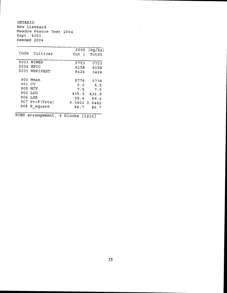ONTARIO New Liskeard Meadow Fescue Test 2004 Expt. 4003 Seeded 2004

| Code                                                                                             | 2005                                                  | (kg/ha)                                               |
|--------------------------------------------------------------------------------------------------|-------------------------------------------------------|-------------------------------------------------------|
| Cultivar                                                                                         | Cut 1                                                 | Tot <sub>05</sub>                                     |
| 5033 MIMER                                                                                       | 5753                                                  | 5753                                                  |
| 5034 EPIC                                                                                        | 6158                                                  | 6158                                                  |
| 5035 MERIFEST                                                                                    | 5424                                                  | 5424                                                  |
| 900 Mean<br>901<br>CV.<br>905 MCV<br>902 LSD<br>906.<br>LSR<br>907 Pr>F(Trts)<br>908<br>R square | 5778<br>5.5<br>7.5<br>435.9<br>59.4<br>0.0462<br>86.7 | 5778<br>5.5<br>7.5<br>435.9<br>59.4<br>0.0462<br>86.7 |

RCBD arrangement, 4 blocks  ${1234}$